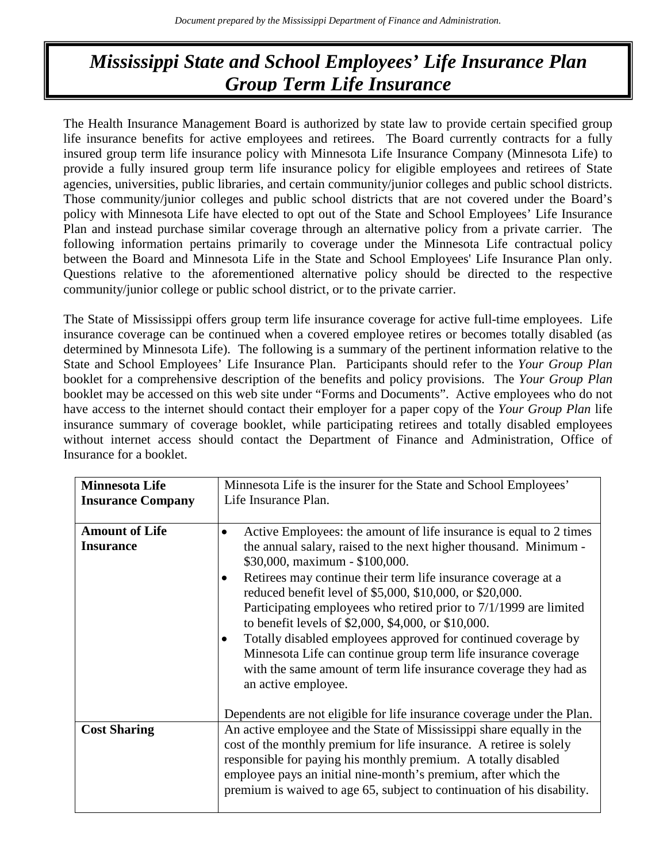# *Mississippi State and School Employees' Life Insurance Plan Group Term Life Insurance*

The Health Insurance Management Board is authorized by state law to provide certain specified group life insurance benefits for active employees and retirees. The Board currently contracts for a fully insured group term life insurance policy with Minnesota Life Insurance Company (Minnesota Life) to provide a fully insured group term life insurance policy for eligible employees and retirees of State agencies, universities, public libraries, and certain community/junior colleges and public school districts. Those community/junior colleges and public school districts that are not covered under the Board's policy with Minnesota Life have elected to opt out of the State and School Employees' Life Insurance Plan and instead purchase similar coverage through an alternative policy from a private carrier. The following information pertains primarily to coverage under the Minnesota Life contractual policy between the Board and Minnesota Life in the State and School Employees' Life Insurance Plan only. Questions relative to the aforementioned alternative policy should be directed to the respective community/junior college or public school district, or to the private carrier.

The State of Mississippi offers group term life insurance coverage for active full-time employees. Life insurance coverage can be continued when a covered employee retires or becomes totally disabled (as determined by Minnesota Life). The following is a summary of the pertinent information relative to the State and School Employees' Life Insurance Plan. Participants should refer to the *Your Group Plan* booklet for a comprehensive description of the benefits and policy provisions. The *Your Group Plan* booklet may be accessed on this web site under "Forms and Documents". Active employees who do not have access to the internet should contact their employer for a paper copy of the *Your Group Plan* life insurance summary of coverage booklet, while participating retirees and totally disabled employees without internet access should contact the Department of Finance and Administration, Office of Insurance for a booklet.

| <b>Minnesota Life</b>    | Minnesota Life is the insurer for the State and School Employees'                                                              |
|--------------------------|--------------------------------------------------------------------------------------------------------------------------------|
| <b>Insurance Company</b> | Life Insurance Plan.                                                                                                           |
|                          |                                                                                                                                |
| <b>Amount of Life</b>    | Active Employees: the amount of life insurance is equal to 2 times<br>٠                                                        |
| <b>Insurance</b>         | the annual salary, raised to the next higher thousand. Minimum -                                                               |
|                          | \$30,000, maximum - \$100,000.                                                                                                 |
|                          | Retirees may continue their term life insurance coverage at a<br>٠<br>reduced benefit level of \$5,000, \$10,000, or \$20,000. |
|                          | Participating employees who retired prior to 7/1/1999 are limited<br>to benefit levels of \$2,000, \$4,000, or \$10,000.       |
|                          | Totally disabled employees approved for continued coverage by<br>٠                                                             |
|                          | Minnesota Life can continue group term life insurance coverage                                                                 |
|                          | with the same amount of term life insurance coverage they had as                                                               |
|                          | an active employee.                                                                                                            |
|                          |                                                                                                                                |
|                          | Dependents are not eligible for life insurance coverage under the Plan.                                                        |
| <b>Cost Sharing</b>      | An active employee and the State of Mississippi share equally in the                                                           |
|                          | cost of the monthly premium for life insurance. A retiree is solely                                                            |
|                          | responsible for paying his monthly premium. A totally disabled                                                                 |
|                          | employee pays an initial nine-month's premium, after which the                                                                 |
|                          | premium is waived to age 65, subject to continuation of his disability.                                                        |
|                          |                                                                                                                                |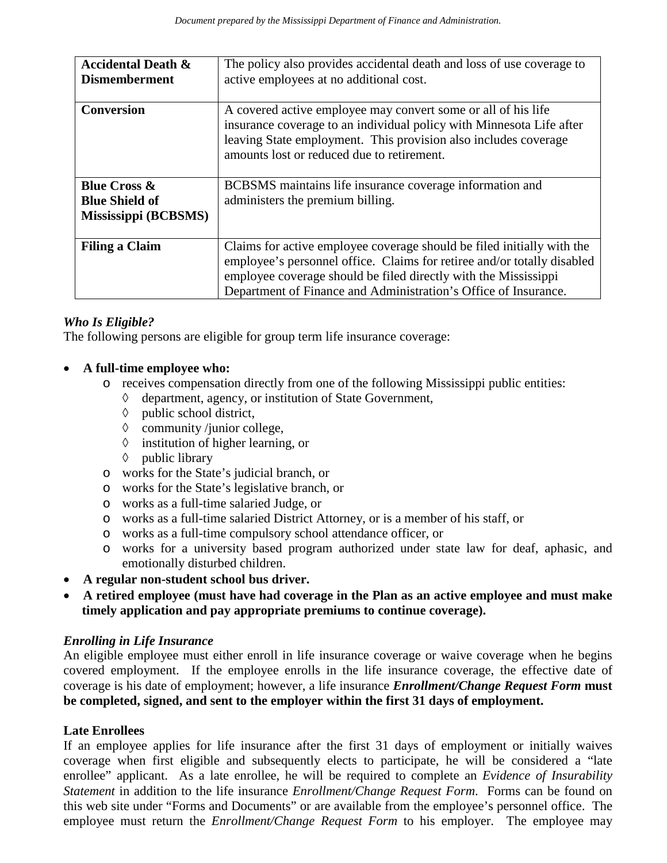| <b>Accidental Death &amp;</b><br><b>Dismemberment</b> | The policy also provides accidental death and loss of use coverage to<br>active employees at no additional cost.                                                                                                                                                                        |
|-------------------------------------------------------|-----------------------------------------------------------------------------------------------------------------------------------------------------------------------------------------------------------------------------------------------------------------------------------------|
| <b>Conversion</b>                                     | A covered active employee may convert some or all of his life<br>insurance coverage to an individual policy with Minnesota Life after<br>leaving State employment. This provision also includes coverage<br>amounts lost or reduced due to retirement.                                  |
| <b>Blue Cross &amp;</b>                               | BCBSMS maintains life insurance coverage information and                                                                                                                                                                                                                                |
| <b>Blue Shield of</b>                                 | administers the premium billing.                                                                                                                                                                                                                                                        |
| Mississippi (BCBSMS)                                  |                                                                                                                                                                                                                                                                                         |
| <b>Filing a Claim</b>                                 | Claims for active employee coverage should be filed initially with the<br>employee's personnel office. Claims for retiree and/or totally disabled<br>employee coverage should be filed directly with the Mississippi<br>Department of Finance and Administration's Office of Insurance. |

# *Who Is Eligible?*

The following persons are eligible for group term life insurance coverage:

# • **A full-time employee who:**

- $\circ$  receives compensation directly from one of the following Mississippi public entities:<br>  $\circ$  denartment agency or institution of State Government.
	- department, agency, or institution of State Government,
	- ◊ public school district,
	- ◊ community /junior college,
	- ◊ institution of higher learning, or
	- ◊ public library
- o works for the State's judicial branch, or
- o works for the State's legislative branch, or
- o works as a full-time salaried Judge, or
- o works as a full-time salaried District Attorney, or is a member of his staff, or
- o works as a full-time compulsory school attendance officer, or
- o works for a university based program authorized under state law for deaf, aphasic, and emotionally disturbed children.
- **A regular non-student school bus driver.**
- **A retired employee (must have had coverage in the Plan as an active employee and must make timely application and pay appropriate premiums to continue coverage).**

# *Enrolling in Life Insurance*

An eligible employee must either enroll in life insurance coverage or waive coverage when he begins covered employment. If the employee enrolls in the life insurance coverage, the effective date of coverage is his date of employment; however, a life insurance *Enrollment/Change Request Form* **must be completed, signed, and sent to the employer within the first 31 days of employment.** 

# **Late Enrollees**

If an employee applies for life insurance after the first 31 days of employment or initially waives coverage when first eligible and subsequently elects to participate, he will be considered a "late enrollee" applicant. As a late enrollee, he will be required to complete an *Evidence of Insurability Statement* in addition to the life insurance *Enrollment/Change Request Form*. Forms can be found on this web site under "Forms and Documents" or are available from the employee's personnel office. The employee must return the *Enrollment/Change Request Form* to his employer. The employee may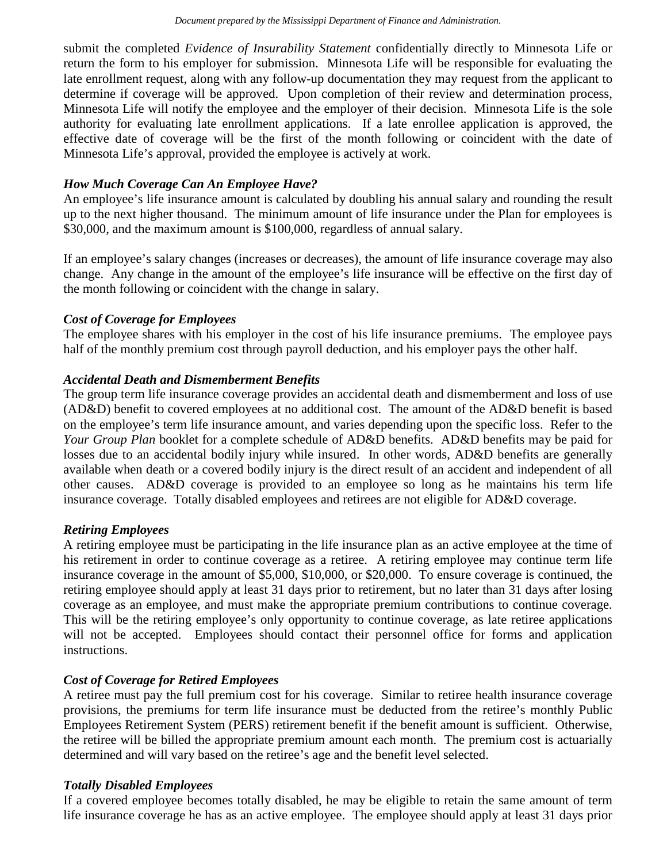submit the completed *Evidence of Insurability Statement* confidentially directly to Minnesota Life or return the form to his employer for submission. Minnesota Life will be responsible for evaluating the late enrollment request, along with any follow-up documentation they may request from the applicant to determine if coverage will be approved. Upon completion of their review and determination process, Minnesota Life will notify the employee and the employer of their decision. Minnesota Life is the sole authority for evaluating late enrollment applications. If a late enrollee application is approved, the effective date of coverage will be the first of the month following or coincident with the date of Minnesota Life's approval, provided the employee is actively at work.

## *How Much Coverage Can An Employee Have?*

An employee's life insurance amount is calculated by doubling his annual salary and rounding the result up to the next higher thousand. The minimum amount of life insurance under the Plan for employees is \$30,000, and the maximum amount is \$100,000, regardless of annual salary.

If an employee's salary changes (increases or decreases), the amount of life insurance coverage may also change. Any change in the amount of the employee's life insurance will be effective on the first day of the month following or coincident with the change in salary.

## *Cost of Coverage for Employees*

The employee shares with his employer in the cost of his life insurance premiums. The employee pays half of the monthly premium cost through payroll deduction, and his employer pays the other half.

## *Accidental Death and Dismemberment Benefits*

The group term life insurance coverage provides an accidental death and dismemberment and loss of use (AD&D) benefit to covered employees at no additional cost. The amount of the AD&D benefit is based on the employee's term life insurance amount, and varies depending upon the specific loss. Refer to the *Your Group Plan* booklet for a complete schedule of AD&D benefits. AD&D benefits may be paid for losses due to an accidental bodily injury while insured. In other words, AD&D benefits are generally available when death or a covered bodily injury is the direct result of an accident and independent of all other causes. AD&D coverage is provided to an employee so long as he maintains his term life insurance coverage. Totally disabled employees and retirees are not eligible for AD&D coverage.

#### *Retiring Employees*

A retiring employee must be participating in the life insurance plan as an active employee at the time of his retirement in order to continue coverage as a retiree. A retiring employee may continue term life insurance coverage in the amount of \$5,000, \$10,000, or \$20,000. To ensure coverage is continued, the retiring employee should apply at least 31 days prior to retirement, but no later than 31 days after losing coverage as an employee, and must make the appropriate premium contributions to continue coverage. This will be the retiring employee's only opportunity to continue coverage, as late retiree applications will not be accepted. Employees should contact their personnel office for forms and application instructions.

# *Cost of Coverage for Retired Employees*

A retiree must pay the full premium cost for his coverage. Similar to retiree health insurance coverage provisions, the premiums for term life insurance must be deducted from the retiree's monthly Public Employees Retirement System (PERS) retirement benefit if the benefit amount is sufficient. Otherwise, the retiree will be billed the appropriate premium amount each month. The premium cost is actuarially determined and will vary based on the retiree's age and the benefit level selected.

#### *Totally Disabled Employees*

If a covered employee becomes totally disabled, he may be eligible to retain the same amount of term life insurance coverage he has as an active employee. The employee should apply at least 31 days prior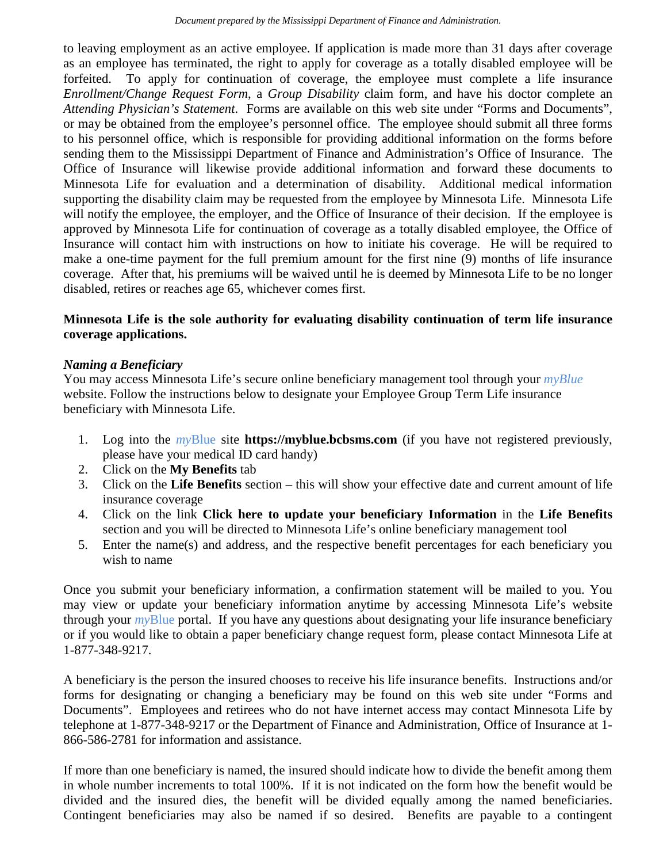to leaving employment as an active employee. If application is made more than 31 days after coverage as an employee has terminated, the right to apply for coverage as a totally disabled employee will be forfeited. To apply for continuation of coverage, the employee must complete a life insurance *Enrollment/Change Request Form*, a *Group Disability* claim form, and have his doctor complete an *Attending Physician's Statement*. Forms are available on this web site under "Forms and Documents", or may be obtained from the employee's personnel office. The employee should submit all three forms to his personnel office, which is responsible for providing additional information on the forms before sending them to the Mississippi Department of Finance and Administration's Office of Insurance. The Office of Insurance will likewise provide additional information and forward these documents to Minnesota Life for evaluation and a determination of disability. Additional medical information supporting the disability claim may be requested from the employee by Minnesota Life. Minnesota Life will notify the employee, the employer, and the Office of Insurance of their decision. If the employee is approved by Minnesota Life for continuation of coverage as a totally disabled employee, the Office of Insurance will contact him with instructions on how to initiate his coverage. He will be required to make a one-time payment for the full premium amount for the first nine (9) months of life insurance coverage. After that, his premiums will be waived until he is deemed by Minnesota Life to be no longer disabled, retires or reaches age 65, whichever comes first.

# **Minnesota Life is the sole authority for evaluating disability continuation of term life insurance coverage applications.**

## *Naming a Beneficiary*

You may access Minnesota Life's secure online beneficiary management tool through your *myBlue* website. Follow the instructions below to designate your Employee Group Term Life insurance beneficiary with Minnesota Life.

- 1. Log into the *my*Blue site **https://myblue.bcbsms.com** (if you have not registered previously, please have your medical ID card handy)
- 2. Click on the **My Benefits** tab
- 3. Click on the **Life Benefits** section this will show your effective date and current amount of life insurance coverage
- 4. Click on the link **Click here to update your beneficiary Information** in the **Life Benefits** section and you will be directed to Minnesota Life's online beneficiary management tool
- 5. Enter the name(s) and address, and the respective benefit percentages for each beneficiary you wish to name

Once you submit your beneficiary information, a confirmation statement will be mailed to you. You may view or update your beneficiary information anytime by accessing Minnesota Life's website through your *my*Blue portal. If you have any questions about designating your life insurance beneficiary or if you would like to obtain a paper beneficiary change request form, please contact Minnesota Life at 1-877-348-9217.

A beneficiary is the person the insured chooses to receive his life insurance benefits. Instructions and/or forms for designating or changing a beneficiary may be found on this web site under "Forms and Documents". Employees and retirees who do not have internet access may contact Minnesota Life by telephone at 1-877-348-9217 or the Department of Finance and Administration, Office of Insurance at 1- 866-586-2781 for information and assistance.

If more than one beneficiary is named, the insured should indicate how to divide the benefit among them in whole number increments to total 100%. If it is not indicated on the form how the benefit would be divided and the insured dies, the benefit will be divided equally among the named beneficiaries. Contingent beneficiaries may also be named if so desired. Benefits are payable to a contingent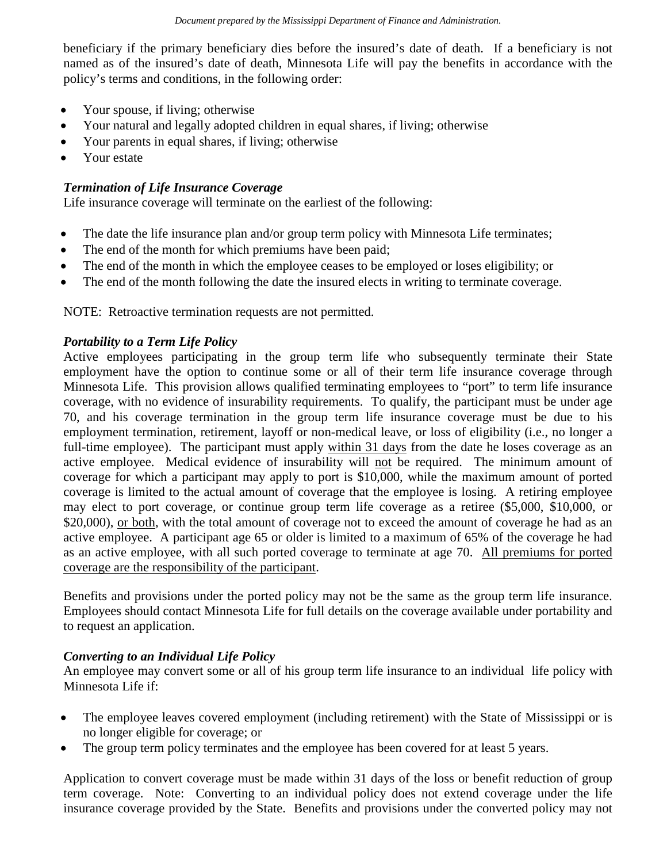beneficiary if the primary beneficiary dies before the insured's date of death. If a beneficiary is not named as of the insured's date of death, Minnesota Life will pay the benefits in accordance with the policy's terms and conditions, in the following order:

- Your spouse, if living; otherwise
- Your natural and legally adopted children in equal shares, if living; otherwise
- Your parents in equal shares, if living; otherwise
- Your estate

# *Termination of Life Insurance Coverage*

Life insurance coverage will terminate on the earliest of the following:

- The date the life insurance plan and/or group term policy with Minnesota Life terminates;
- The end of the month for which premiums have been paid;
- The end of the month in which the employee ceases to be employed or loses eligibility; or
- The end of the month following the date the insured elects in writing to terminate coverage.

NOTE: Retroactive termination requests are not permitted.

# *Portability to a Term Life Policy*

Active employees participating in the group term life who subsequently terminate their State employment have the option to continue some or all of their term life insurance coverage through Minnesota Life. This provision allows qualified terminating employees to "port" to term life insurance coverage, with no evidence of insurability requirements. To qualify, the participant must be under age 70, and his coverage termination in the group term life insurance coverage must be due to his employment termination, retirement, layoff or non-medical leave, or loss of eligibility (i.e., no longer a full-time employee). The participant must apply within 31 days from the date he loses coverage as an active employee. Medical evidence of insurability will not be required. The minimum amount of coverage for which a participant may apply to port is \$10,000, while the maximum amount of ported coverage is limited to the actual amount of coverage that the employee is losing. A retiring employee may elect to port coverage, or continue group term life coverage as a retiree (\$5,000, \$10,000, or \$20,000), or both, with the total amount of coverage not to exceed the amount of coverage he had as an active employee. A participant age 65 or older is limited to a maximum of 65% of the coverage he had as an active employee, with all such ported coverage to terminate at age 70. All premiums for ported coverage are the responsibility of the participant.

Benefits and provisions under the ported policy may not be the same as the group term life insurance. Employees should contact Minnesota Life for full details on the coverage available under portability and to request an application.

# *Converting to an Individual Life Policy*

An employee may convert some or all of his group term life insurance to an individual life policy with Minnesota Life if:

- The employee leaves covered employment (including retirement) with the State of Mississippi or is no longer eligible for coverage; or
- The group term policy terminates and the employee has been covered for at least 5 years.

Application to convert coverage must be made within 31 days of the loss or benefit reduction of group term coverage. Note: Converting to an individual policy does not extend coverage under the life insurance coverage provided by the State. Benefits and provisions under the converted policy may not